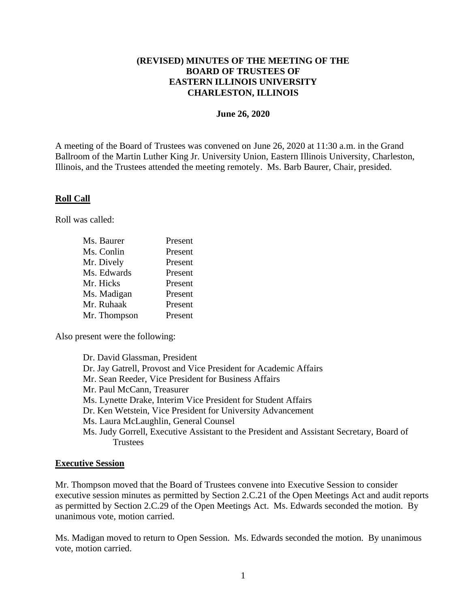# **(REVISED) MINUTES OF THE MEETING OF THE BOARD OF TRUSTEES OF EASTERN ILLINOIS UNIVERSITY CHARLESTON, ILLINOIS**

#### **June 26, 2020**

A meeting of the Board of Trustees was convened on June 26, 2020 at 11:30 a.m. in the Grand Ballroom of the Martin Luther King Jr. University Union, Eastern Illinois University, Charleston, Illinois, and the Trustees attended the meeting remotely. Ms. Barb Baurer, Chair, presided.

## **Roll Call**

Roll was called:

| Ms. Baurer   | Present |
|--------------|---------|
| Ms. Conlin   | Present |
| Mr. Dively   | Present |
| Ms. Edwards  | Present |
| Mr. Hicks    | Present |
| Ms. Madigan  | Present |
| Mr. Ruhaak   | Present |
| Mr. Thompson | Present |

Also present were the following:

Dr. David Glassman, President Dr. Jay Gatrell, Provost and Vice President for Academic Affairs Mr. Sean Reeder, Vice President for Business Affairs Mr. Paul McCann, Treasurer Ms. Lynette Drake, Interim Vice President for Student Affairs Dr. Ken Wetstein, Vice President for University Advancement Ms. Laura McLaughlin, General Counsel Ms. Judy Gorrell, Executive Assistant to the President and Assistant Secretary, Board of **Trustees** 

## **Executive Session**

Mr. Thompson moved that the Board of Trustees convene into Executive Session to consider executive session minutes as permitted by Section 2.C.21 of the Open Meetings Act and audit reports as permitted by Section 2.C.29 of the Open Meetings Act. Ms. Edwards seconded the motion. By unanimous vote, motion carried.

Ms. Madigan moved to return to Open Session. Ms. Edwards seconded the motion. By unanimous vote, motion carried.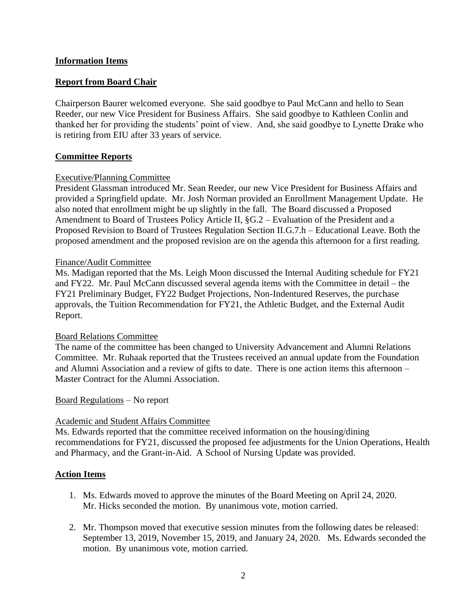## **Information Items**

# **Report from Board Chair**

Chairperson Baurer welcomed everyone. She said goodbye to Paul McCann and hello to Sean Reeder, our new Vice President for Business Affairs. She said goodbye to Kathleen Conlin and thanked her for providing the students' point of view. And, she said goodbye to Lynette Drake who is retiring from EIU after 33 years of service.

## **Committee Reports**

#### Executive/Planning Committee

President Glassman introduced Mr. Sean Reeder, our new Vice President for Business Affairs and provided a Springfield update. Mr. Josh Norman provided an Enrollment Management Update. He also noted that enrollment might be up slightly in the fall. The Board discussed a Proposed Amendment to Board of Trustees Policy Article II, §G.2 – Evaluation of the President and a Proposed Revision to Board of Trustees Regulation Section II.G.7.h – Educational Leave. Both the proposed amendment and the proposed revision are on the agenda this afternoon for a first reading.

#### Finance/Audit Committee

Ms. Madigan reported that the Ms. Leigh Moon discussed the Internal Auditing schedule for FY21 and FY22. Mr. Paul McCann discussed several agenda items with the Committee in detail – the FY21 Preliminary Budget, FY22 Budget Projections, Non-Indentured Reserves, the purchase approvals, the Tuition Recommendation for FY21, the Athletic Budget, and the External Audit Report.

#### Board Relations Committee

The name of the committee has been changed to University Advancement and Alumni Relations Committee. Mr. Ruhaak reported that the Trustees received an annual update from the Foundation and Alumni Association and a review of gifts to date. There is one action items this afternoon – Master Contract for the Alumni Association.

#### Board Regulations – No report

## Academic and Student Affairs Committee

Ms. Edwards reported that the committee received information on the housing/dining recommendations for FY21, discussed the proposed fee adjustments for the Union Operations, Health and Pharmacy, and the Grant-in-Aid. A School of Nursing Update was provided.

## **Action Items**

- 1. Ms. Edwards moved to approve the minutes of the Board Meeting on April 24, 2020. Mr. Hicks seconded the motion. By unanimous vote, motion carried.
- 2. Mr. Thompson moved that executive session minutes from the following dates be released: September 13, 2019, November 15, 2019, and January 24, 2020. Ms. Edwards seconded the motion. By unanimous vote, motion carried.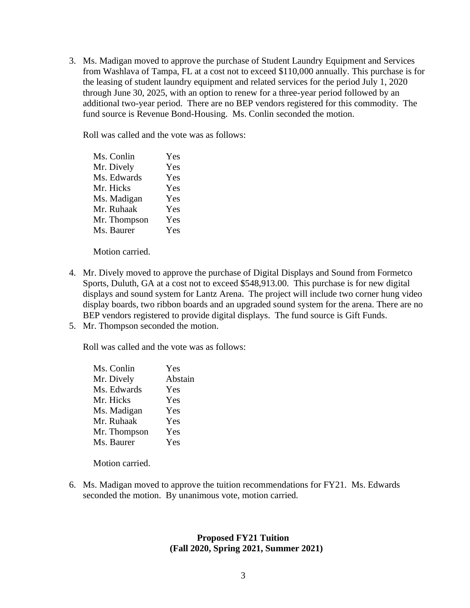3. Ms. Madigan moved to approve the purchase of Student Laundry Equipment and Services from Washlava of Tampa, FL at a cost not to exceed \$110,000 annually. This purchase is for the leasing of student laundry equipment and related services for the period July 1, 2020 through June 30, 2025, with an option to renew for a three-year period followed by an additional two-year period. There are no BEP vendors registered for this commodity. The fund source is Revenue Bond-Housing. Ms. Conlin seconded the motion.

Roll was called and the vote was as follows:

Ms. Conlin Yes Mr. Dively Yes Ms. Edwards Yes Mr. Hicks Yes Ms. Madigan Yes Mr. Ruhaak Yes Mr. Thompson Yes Ms. Baurer Yes

Motion carried.

- 4. Mr. Dively moved to approve the purchase of Digital Displays and Sound from Formetco Sports, Duluth, GA at a cost not to exceed \$548,913.00. This purchase is for new digital displays and sound system for Lantz Arena. The project will include two corner hung video display boards, two ribbon boards and an upgraded sound system for the arena. There are no BEP vendors registered to provide digital displays. The fund source is Gift Funds.
- 5. Mr. Thompson seconded the motion.

Roll was called and the vote was as follows:

| Ms. Conlin   | Yes     |
|--------------|---------|
| Mr. Dively   | Abstain |
| Ms. Edwards  | Yes     |
| Mr. Hicks    | Yes     |
| Ms. Madigan  | Yes     |
| Mr. Ruhaak   | Yes     |
| Mr. Thompson | Yes     |
| Ms. Baurer   | Yes     |
|              |         |

Motion carried.

6. Ms. Madigan moved to approve the tuition recommendations for FY21. Ms. Edwards seconded the motion. By unanimous vote, motion carried.

# **Proposed FY21 Tuition (Fall 2020, Spring 2021, Summer 2021)**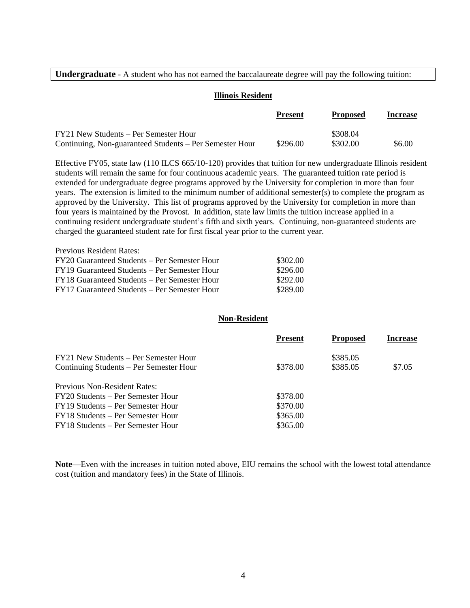**Undergraduate** - A student who has not earned the baccalaureate degree will pay the following tuition:

#### **Illinois Resident**

|                                                         | <b>Present</b> | <b>Proposed</b> | <b>Increase</b> |
|---------------------------------------------------------|----------------|-----------------|-----------------|
| FY21 New Students – Per Semester Hour                   |                | \$308.04        |                 |
| Continuing, Non-guaranteed Students – Per Semester Hour | \$296.00       | \$302.00        | \$6.00          |

Effective FY05, state law (110 ILCS 665/10-120) provides that tuition for new undergraduate Illinois resident students will remain the same for four continuous academic years. The guaranteed tuition rate period is extended for undergraduate degree programs approved by the University for completion in more than four years. The extension is limited to the minimum number of additional semester(s) to complete the program as approved by the University. This list of programs approved by the University for completion in more than four years is maintained by the Provost. In addition, state law limits the tuition increase applied in a continuing resident undergraduate student's fifth and sixth years. Continuing, non-guaranteed students are charged the guaranteed student rate for first fiscal year prior to the current year.

| <b>Previous Resident Rates:</b>              |          |
|----------------------------------------------|----------|
| FY20 Guaranteed Students – Per Semester Hour | \$302.00 |
| FY19 Guaranteed Students – Per Semester Hour | \$296.00 |
| FY18 Guaranteed Students – Per Semester Hour | \$292.00 |
| FY17 Guaranteed Students – Per Semester Hour | \$289.00 |

#### **Non-Resident**

|                                         | <b>Present</b> | <b>Proposed</b> | <b>Increase</b> |
|-----------------------------------------|----------------|-----------------|-----------------|
| FY21 New Students – Per Semester Hour   |                | \$385.05        |                 |
| Continuing Students – Per Semester Hour | \$378.00       | \$385.05        | \$7.05          |
| <b>Previous Non-Resident Rates:</b>     |                |                 |                 |
| FY20 Students – Per Semester Hour       | \$378.00       |                 |                 |
| FY19 Students – Per Semester Hour       | \$370.00       |                 |                 |
| FY18 Students – Per Semester Hour       | \$365.00       |                 |                 |
| FY18 Students – Per Semester Hour       | \$365.00       |                 |                 |

**Note**—Even with the increases in tuition noted above, EIU remains the school with the lowest total attendance cost (tuition and mandatory fees) in the State of Illinois.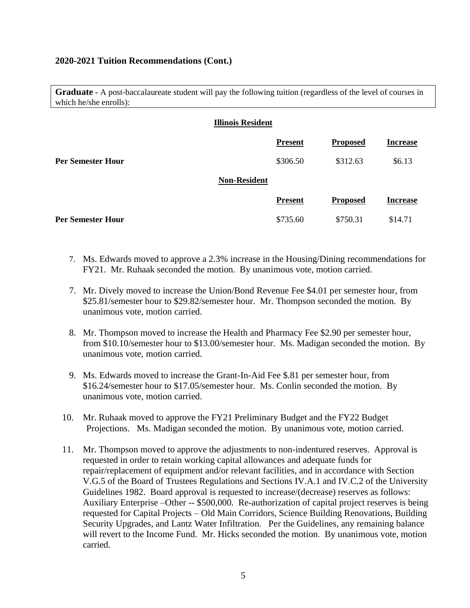## **2020-2021 Tuition Recommendations (Cont.)**

**Graduate -** A post-baccalaureate student will pay the following tuition (regardless of the level of courses in which he/she enrolls):

|                          | <b>Illinois Resident</b> |                |                 |                 |
|--------------------------|--------------------------|----------------|-----------------|-----------------|
|                          |                          | <b>Present</b> | <b>Proposed</b> | <b>Increase</b> |
| Per Semester Hour        |                          | \$306.50       | \$312.63        | \$6.13          |
|                          | <b>Non-Resident</b>      |                |                 |                 |
|                          |                          | <b>Present</b> | <b>Proposed</b> | <b>Increase</b> |
| <b>Per Semester Hour</b> |                          | \$735.60       | \$750.31        | \$14.71         |

- 7. Ms. Edwards moved to approve a 2.3% increase in the Housing/Dining recommendations for FY21. Mr. Ruhaak seconded the motion. By unanimous vote, motion carried.
- 7. Mr. Dively moved to increase the Union/Bond Revenue Fee \$4.01 per semester hour, from \$25.81/semester hour to \$29.82/semester hour. Mr. Thompson seconded the motion. By unanimous vote, motion carried.
- 8. Mr. Thompson moved to increase the Health and Pharmacy Fee \$2.90 per semester hour, from \$10.10/semester hour to \$13.00/semester hour. Ms. Madigan seconded the motion. By unanimous vote, motion carried.
- 9. Ms. Edwards moved to increase the Grant-In-Aid Fee \$.81 per semester hour, from \$16.24/semester hour to \$17.05/semester hour. Ms. Conlin seconded the motion. By unanimous vote, motion carried.
- 10. Mr. Ruhaak moved to approve the FY21 Preliminary Budget and the FY22 Budget Projections. Ms. Madigan seconded the motion. By unanimous vote, motion carried.
- 11. Mr. Thompson moved to approve the adjustments to non-indentured reserves. Approval is requested in order to retain working capital allowances and adequate funds for repair/replacement of equipment and/or relevant facilities, and in accordance with Section V.G.5 of the Board of Trustees Regulations and Sections IV.A.1 and IV.C.2 of the University Guidelines 1982. Board approval is requested to increase/(decrease) reserves as follows: Auxiliary Enterprise –Other -- \$500,000. Re-authorization of capital project reserves is being requested for Capital Projects – Old Main Corridors, Science Building Renovations, Building Security Upgrades, and Lantz Water Infiltration. Per the Guidelines, any remaining balance will revert to the Income Fund. Mr. Hicks seconded the motion. By unanimous vote, motion carried.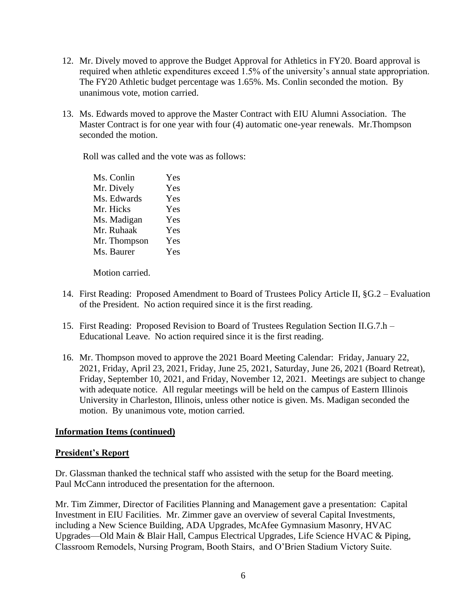- 12. Mr. Dively moved to approve the Budget Approval for Athletics in FY20. Board approval is required when athletic expenditures exceed 1.5% of the university's annual state appropriation. The FY20 Athletic budget percentage was 1.65%. Ms. Conlin seconded the motion. By unanimous vote, motion carried.
- 13. Ms. Edwards moved to approve the Master Contract with EIU Alumni Association. The Master Contract is for one year with four (4) automatic one-year renewals. Mr.Thompson seconded the motion.

Roll was called and the vote was as follows:

| Ms. Conlin   | Yes |
|--------------|-----|
| Mr. Dively   | Yes |
| Ms. Edwards  | Yes |
| Mr. Hicks    | Yes |
| Ms. Madigan  | Yes |
| Mr. Ruhaak   | Yes |
| Mr. Thompson | Yes |
| Ms. Baurer   | Yes |
|              |     |

Motion carried.

- 14. First Reading: Proposed Amendment to Board of Trustees Policy Article II, §G.2 Evaluation of the President. No action required since it is the first reading.
- 15. First Reading: Proposed Revision to Board of Trustees Regulation Section II.G.7.h Educational Leave. No action required since it is the first reading.
- 16. Mr. Thompson moved to approve the 2021 Board Meeting Calendar: Friday, January 22, 2021, Friday, April 23, 2021, Friday, June 25, 2021, Saturday, June 26, 2021 (Board Retreat), Friday, September 10, 2021, and Friday, November 12, 2021. Meetings are subject to change with adequate notice. All regular meetings will be held on the campus of Eastern Illinois University in Charleston, Illinois, unless other notice is given. Ms. Madigan seconded the motion. By unanimous vote, motion carried.

## **Information Items (continued)**

## **President's Report**

Dr. Glassman thanked the technical staff who assisted with the setup for the Board meeting. Paul McCann introduced the presentation for the afternoon.

Mr. Tim Zimmer, Director of Facilities Planning and Management gave a presentation: Capital Investment in EIU Facilities. Mr. Zimmer gave an overview of several Capital Investments, including a New Science Building, ADA Upgrades, McAfee Gymnasium Masonry, HVAC Upgrades—Old Main & Blair Hall, Campus Electrical Upgrades, Life Science HVAC & Piping, Classroom Remodels, Nursing Program, Booth Stairs, and O'Brien Stadium Victory Suite.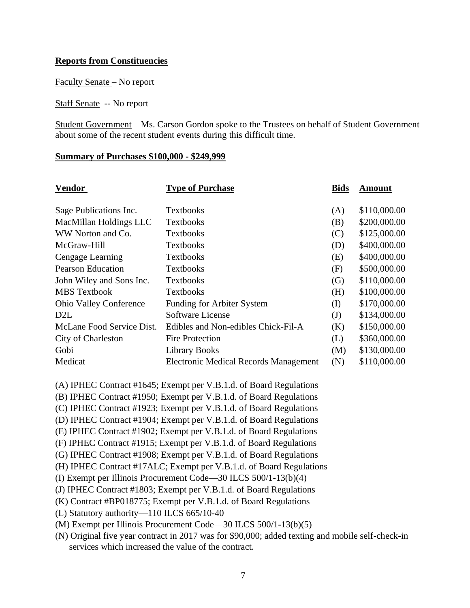# **Reports from Constituencies**

Faculty Senate – No report

Staff Senate -- No report

Student Government – Ms. Carson Gordon spoke to the Trustees on behalf of Student Government about some of the recent student events during this difficult time.

#### **Summary of Purchases \$100,000 - \$249,999**

| <b>Vendor</b>                 | <b>Type of Purchase</b>                      | <b>Bids</b> | <b>Amount</b> |
|-------------------------------|----------------------------------------------|-------------|---------------|
|                               |                                              |             |               |
| Sage Publications Inc.        | <b>Textbooks</b>                             | (A)         | \$110,000.00  |
| MacMillan Holdings LLC        | <b>Textbooks</b>                             | (B)         | \$200,000.00  |
| WW Norton and Co.             | <b>Textbooks</b>                             | (C)         | \$125,000.00  |
| McGraw-Hill                   | <b>Textbooks</b>                             | (D)         | \$400,000.00  |
| Cengage Learning              | <b>Textbooks</b>                             | (E)         | \$400,000.00  |
| <b>Pearson Education</b>      | <b>Textbooks</b>                             | (F)         | \$500,000.00  |
| John Wiley and Sons Inc.      | <b>Textbooks</b>                             | (G)         | \$110,000.00  |
| <b>MBS</b> Textbook           | <b>Textbooks</b>                             | (H)         | \$100,000.00  |
| <b>Ohio Valley Conference</b> | <b>Funding for Arbiter System</b>            | (I)         | \$170,000.00  |
| D <sub>2</sub> L              | Software License                             | (J)         | \$134,000.00  |
| McLane Food Service Dist.     | Edibles and Non-edibles Chick-Fil-A          | (K)         | \$150,000.00  |
| City of Charleston            | <b>Fire Protection</b>                       | (L)         | \$360,000.00  |
| Gobi                          | <b>Library Books</b>                         | (M)         | \$130,000.00  |
| Medicat                       | <b>Electronic Medical Records Management</b> | (N)         | \$110,000.00  |

(A) IPHEC Contract #1645; Exempt per V.B.1.d. of Board Regulations

(B) IPHEC Contract #1950; Exempt per V.B.1.d. of Board Regulations

(C) IPHEC Contract #1923; Exempt per V.B.1.d. of Board Regulations

(D) IPHEC Contract #1904; Exempt per V.B.1.d. of Board Regulations

(E) IPHEC Contract #1902; Exempt per V.B.1.d. of Board Regulations

(F) IPHEC Contract #1915; Exempt per V.B.1.d. of Board Regulations

(G) IPHEC Contract #1908; Exempt per V.B.1.d. of Board Regulations

(H) IPHEC Contract #17ALC; Exempt per V.B.1.d. of Board Regulations

(I) Exempt per Illinois Procurement Code—30 ILCS 500/1-13(b)(4)

(J) IPHEC Contract #1803; Exempt per V.B.1.d. of Board Regulations

(K) Contract #BP018775; Exempt per V.B.1.d. of Board Regulations

(L) Statutory authority—110 ILCS 665/10-40

(M) Exempt per Illinois Procurement Code—30 ILCS 500/1-13(b)(5)

(N) Original five year contract in 2017 was for \$90,000; added texting and mobile self-check-in services which increased the value of the contract.